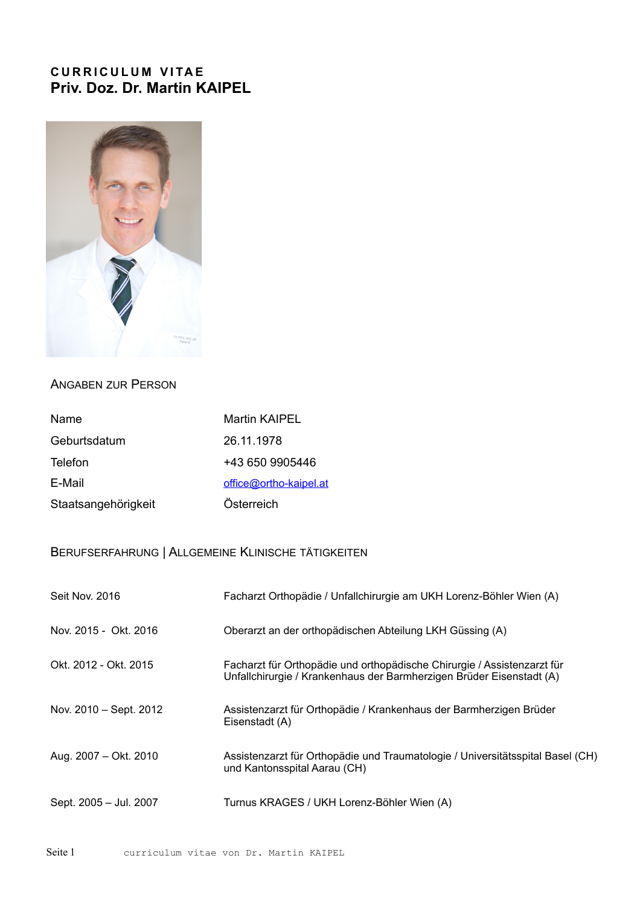## **CURRICULUM VITAE Priv. Doz. Dr. Martin KAIPEL**



### ANGABEN ZUR PERSON

| Name                | Martin KAIPEL          |
|---------------------|------------------------|
| Geburtsdatum        | 26.11.1978             |
| Telefon             | +43 650 9905446        |
| E-Mail              | office@ortho-kaipel.at |
| Staatsangehörigkeit | Österreich             |

## BERUFSERFAHRUNG | ALLGEMEINE KLINISCHE TÄTIGKEITEN

| Seit Nov. 2016         | Facharzt Orthopädie / Unfallchirurgie am UKH Lorenz-Böhler Wien (A)                                                                             |
|------------------------|-------------------------------------------------------------------------------------------------------------------------------------------------|
| Nov. 2015 - Okt. 2016  | Oberarzt an der orthopädischen Abteilung LKH Güssing (A)                                                                                        |
| Okt. 2012 - Okt. 2015  | Facharzt für Orthopädie und orthopädische Chirurgie / Assistenzarzt für<br>Unfallchirurgie / Krankenhaus der Barmherzigen Brüder Eisenstadt (A) |
| Nov. 2010 – Sept. 2012 | Assistenzarzt für Orthopädie / Krankenhaus der Barmherzigen Brüder<br>Eisenstadt (A)                                                            |
| Aug. 2007 - Okt. 2010  | Assistenzarzt für Orthopädie und Traumatologie / Universitätsspital Basel (CH)<br>und Kantonsspital Aarau (CH)                                  |
| Sept. 2005 - Jul. 2007 | Turnus KRAGES / UKH Lorenz-Böhler Wien (A)                                                                                                      |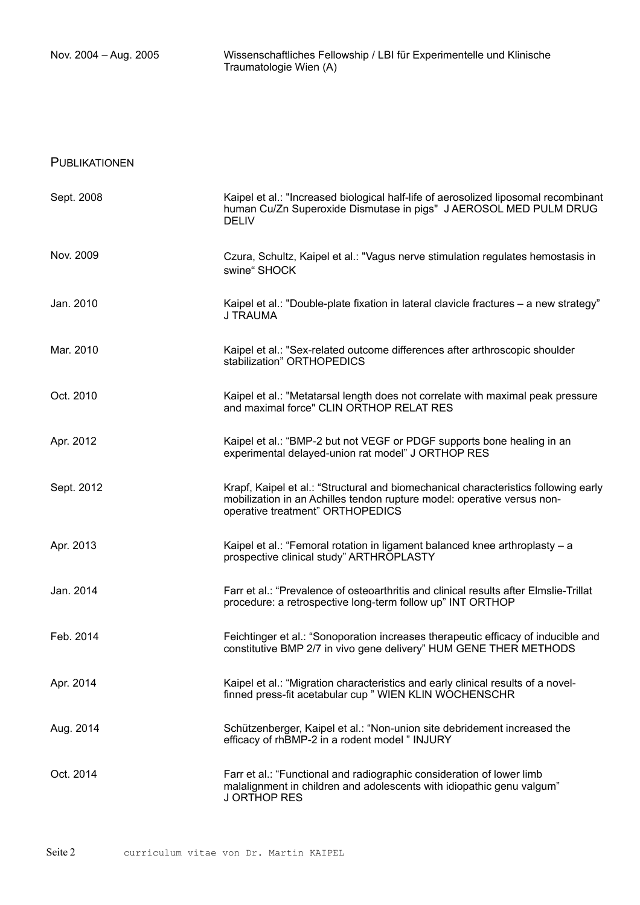#### PUBLIKATIONEN

| Sept. 2008 | Kaipel et al.: "Increased biological half-life of aerosolized liposomal recombinant<br>human Cu/Zn Superoxide Dismutase in pigs" J AEROSOL MED PULM DRUG<br><b>DELIV</b>                           |
|------------|----------------------------------------------------------------------------------------------------------------------------------------------------------------------------------------------------|
| Nov. 2009  | Czura, Schultz, Kaipel et al.: "Vagus nerve stimulation regulates hemostasis in<br>swine" SHOCK                                                                                                    |
| Jan. 2010  | Kaipel et al.: "Double-plate fixation in lateral clavicle fractures - a new strategy"<br>J TRAUMA                                                                                                  |
| Mar. 2010  | Kaipel et al.: "Sex-related outcome differences after arthroscopic shoulder<br>stabilization" ORTHOPEDICS                                                                                          |
| Oct. 2010  | Kaipel et al.: "Metatarsal length does not correlate with maximal peak pressure<br>and maximal force" CLIN ORTHOP RELAT RES                                                                        |
| Apr. 2012  | Kaipel et al.: "BMP-2 but not VEGF or PDGF supports bone healing in an<br>experimental delayed-union rat model" J ORTHOP RES                                                                       |
| Sept. 2012 | Krapf, Kaipel et al.: "Structural and biomechanical characteristics following early<br>mobilization in an Achilles tendon rupture model: operative versus non-<br>operative treatment" ORTHOPEDICS |
| Apr. 2013  | Kaipel et al.: "Femoral rotation in ligament balanced knee arthroplasty - a<br>prospective clinical study" ARTHROPLASTY                                                                            |
| Jan. 2014  | Farr et al.: "Prevalence of osteoarthritis and clinical results after Elmslie-Trillat<br>procedure: a retrospective long-term follow up" INT ORTHOP                                                |
| Feb. 2014  | Feichtinger et al.: "Sonoporation increases therapeutic efficacy of inducible and<br>constitutive BMP 2/7 in vivo gene delivery" HUM GENE THER METHODS                                             |
| Apr. 2014  | Kaipel et al.: "Migration characteristics and early clinical results of a novel-<br>finned press-fit acetabular cup " WIEN KLIN WOCHENSCHR                                                         |
| Aug. 2014  | Schützenberger, Kaipel et al.: "Non-union site debridement increased the<br>efficacy of rhBMP-2 in a rodent model " INJURY                                                                         |
| Oct. 2014  | Farr et al.: "Functional and radiographic consideration of lower limb<br>malalignment in children and adolescents with idiopathic genu valgum"<br>J ORTHOP RES                                     |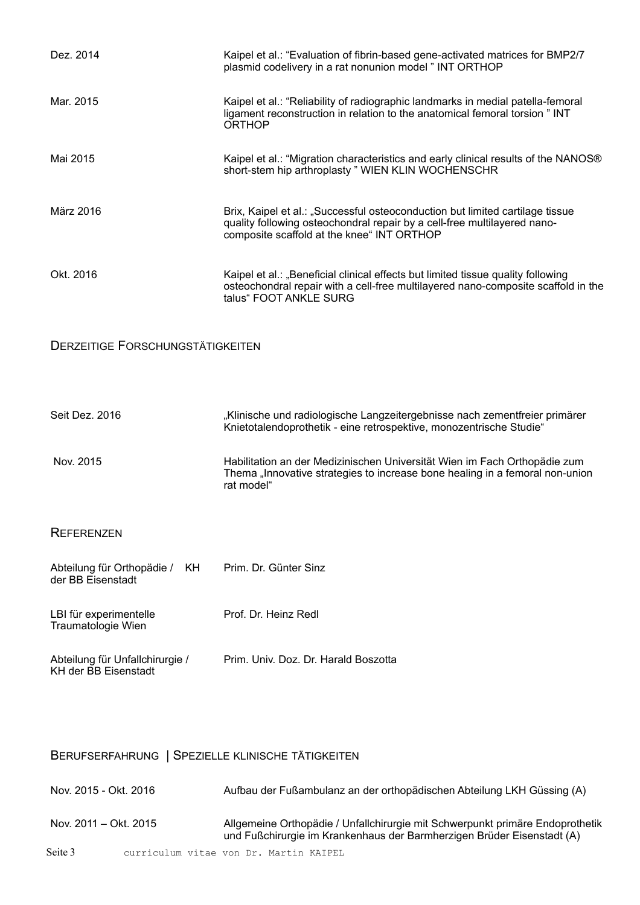| Dez. 2014                                                      | Kaipel et al.: "Evaluation of fibrin-based gene-activated matrices for BMP2/7<br>plasmid codelivery in a rat nonunion model " INT ORTHOP                                                                |
|----------------------------------------------------------------|---------------------------------------------------------------------------------------------------------------------------------------------------------------------------------------------------------|
| Mar. 2015                                                      | Kaipel et al.: "Reliability of radiographic landmarks in medial patella-femoral<br>ligament reconstruction in relation to the anatomical femoral torsion " INT<br><b>ORTHOP</b>                         |
| Mai 2015                                                       | Kaipel et al.: "Migration characteristics and early clinical results of the NANOS®<br>short-stem hip arthroplasty " WIEN KLIN WOCHENSCHR                                                                |
| März 2016                                                      | Brix, Kaipel et al.: "Successful osteoconduction but limited cartilage tissue<br>quality following osteochondral repair by a cell-free multilayered nano-<br>composite scaffold at the knee" INT ORTHOP |
| Okt. 2016                                                      | Kaipel et al.: "Beneficial clinical effects but limited tissue quality following<br>osteochondral repair with a cell-free multilayered nano-composite scaffold in the<br>talus" FOOT ANKLE SURG         |
| <b>DERZEITIGE FORSCHUNGSTÄTIGKEITEN</b>                        |                                                                                                                                                                                                         |
| Seit Dez. 2016                                                 | "Klinische und radiologische Langzeitergebnisse nach zementfreier primärer<br>Knietotalendoprothetik - eine retrospektive, monozentrische Studie"                                                       |
| Nov. 2015                                                      | Habilitation an der Medizinischen Universität Wien im Fach Orthopädie zum<br>Thema "Innovative strategies to increase bone healing in a femoral non-union<br>rat model"                                 |
| <b>REFERENZEN</b>                                              |                                                                                                                                                                                                         |
| Abteilung für Orthopädie /<br>KH.<br>der BB Eisenstadt         | Prim. Dr. Günter Sinz                                                                                                                                                                                   |
| LBI für experimentelle<br>Traumatologie Wien                   | Prof. Dr. Heinz Redl                                                                                                                                                                                    |
| Abteilung für Unfallchirurgie /<br><b>KH der BB Eisenstadt</b> | Prim. Univ. Doz. Dr. Harald Boszotta                                                                                                                                                                    |

# BERUFSERFAHRUNG | SPEZIELLE KLINISCHE TÄTIGKEITEN

| Nov. 2015 - Okt. 2016 | Aufbau der Fußambulanz an der orthopädischen Abteilung LKH Güssing (A)                                                                                  |
|-----------------------|---------------------------------------------------------------------------------------------------------------------------------------------------------|
| Nov. 2011 – Okt. 2015 | Allgemeine Orthopädie / Unfallchirurgie mit Schwerpunkt primäre Endoprothetik<br>und Fußchirurgie im Krankenhaus der Barmherzigen Brüder Eisenstadt (A) |
| Seite 3               | curriculum vitae von Dr. Martin KAIPEL                                                                                                                  |